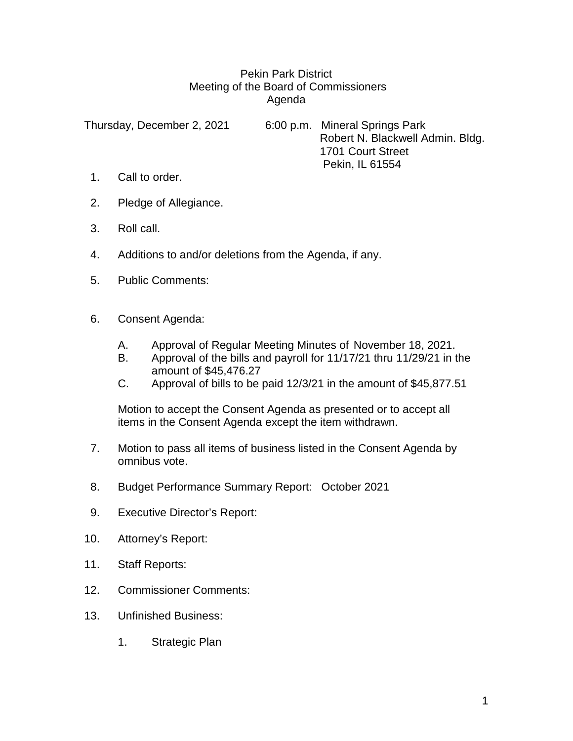## Pekin Park District Meeting of the Board of Commissioners Agenda

Thursday, December 2, 2021 6:00 p.m. Mineral Springs Park Robert N. Blackwell Admin. Bldg. 1701 Court Street Pekin, IL 61554

- 1. Call to order.
- 2. Pledge of Allegiance.
- 3. Roll call.
- 4. Additions to and/or deletions from the Agenda, if any.
- 5. Public Comments:
- 6. Consent Agenda:
	- A. Approval of Regular Meeting Minutes of November 18, 2021.
	- B. Approval of the bills and payroll for 11/17/21 thru 11/29/21 in the amount of \$45,476.27
	- C. Approval of bills to be paid 12/3/21 in the amount of \$45,877.51

Motion to accept the Consent Agenda as presented or to accept all items in the Consent Agenda except the item withdrawn.

- 7. Motion to pass all items of business listed in the Consent Agenda by omnibus vote.
- 8. Budget Performance Summary Report: October 2021
- 9. Executive Director's Report:
- 10. Attorney's Report:
- 11. Staff Reports:
- 12. Commissioner Comments:
- 13. Unfinished Business:
	- 1. Strategic Plan